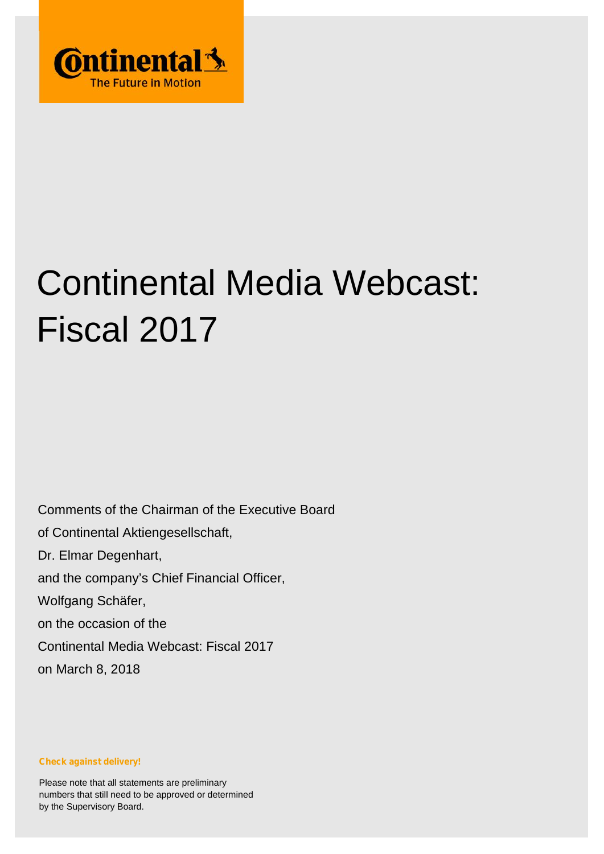

# Continental Media Webcast: Fiscal 2017

Comments of the Chairman of the Executive Board of Continental Aktiengesellschaft, Dr. Elmar Degenhart, and the company's Chief Financial Officer, Wolfgang Schäfer, on the occasion of the Continental Media Webcast: Fiscal 2017 on March 8, 2018

**Check against delivery!**

Please note that all statements are preliminary numbers that still need to be approved or determined by the Supervisory Board.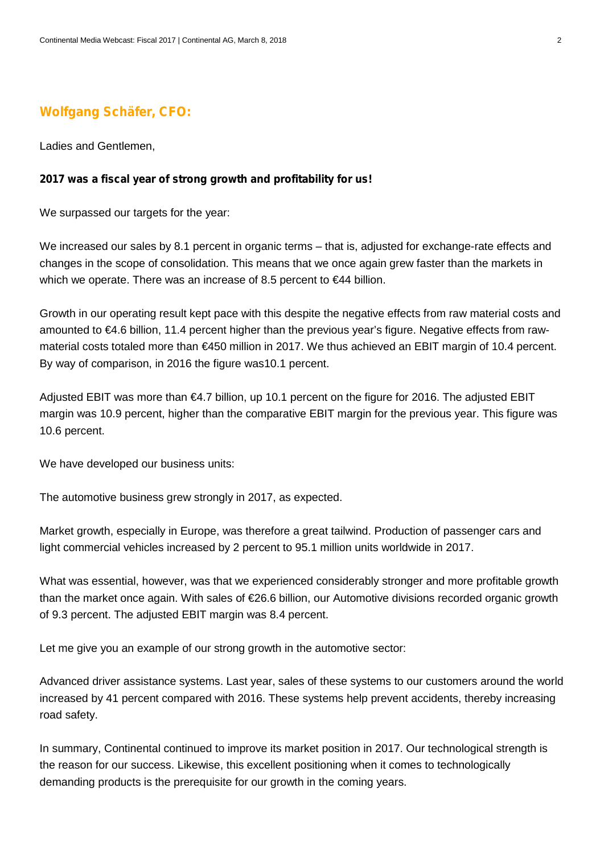## **Wolfgang Schäfer, CFO:**

Ladies and Gentlemen,

#### **2017 was a fiscal year of strong growth and profitability for us!**

We surpassed our targets for the year:

We increased our sales by 8.1 percent in organic terms – that is, adjusted for exchange-rate effects and changes in the scope of consolidation. This means that we once again grew faster than the markets in which we operate. There was an increase of 8.5 percent to €44 billion.

Growth in our operating result kept pace with this despite the negative effects from raw material costs and amounted to €4.6 billion, 11.4 percent higher than the previous year's figure. Negative effects from raw material costs totaled more than €450 million in 2017. We thus achieved an EBIT margin of 10.4 percent. By way of comparison, in 2016 the figure was10.1 percent.

Adjusted EBIT was more than €4.7 billion, up 10.1 percent on the figure for 2016. The adjusted EBIT margin was 10.9 percent, higher than the comparative EBIT margin for the previous year. This figure was 10.6 percent.

We have developed our business units:

The automotive business grew strongly in 2017, as expected.

Market growth, especially in Europe, was therefore a great tailwind. Production of passenger cars and light commercial vehicles increased by 2 percent to 95.1 million units worldwide in 2017.

What was essential, however, was that we experienced considerably stronger and more profitable growth than the market once again. With sales of €26.6 billion, our Automotive divisions recorded organic growth of 9.3 percent. The adjusted EBIT margin was 8.4 percent.

Let me give you an example of our strong growth in the automotive sector:

Advanced driver assistance systems. Last year, sales of these systems to our customers around the world increased by 41 percent compared with 2016. These systems help prevent accidents, thereby increasing road safety.

In summary, Continental continued to improve its market position in 2017. Our technological strength is the reason for our success. Likewise, this excellent positioning when it comes to technologically demanding products is the prerequisite for our growth in the coming years.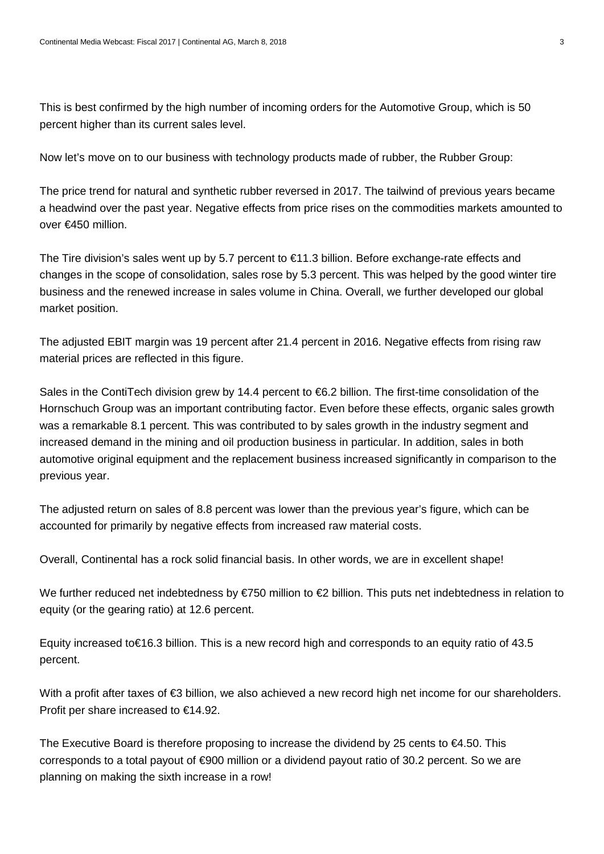This is best confirmed by the high number of incoming orders for the Automotive Group, which is 50 percent higher than its current sales level.

Now let's move on to our business with technology products made of rubber, the Rubber Group:

The price trend for natural and synthetic rubber reversed in 2017. The tailwind of previous years became a headwind over the past year. Negative effects from price rises on the commodities markets amounted to over €450 million.

The Tire division's sales went up by 5.7 percent to €11.3 billion. Before exchange-rate effects and changes in the scope of consolidation, sales rose by 5.3 percent. This was helped by the good winter tire business and the renewed increase in sales volume in China. Overall, we further developed our global market position.

The adjusted EBIT margin was 19 percent after 21.4 percent in 2016. Negative effects from rising raw material prices are reflected in this figure.

Sales in the ContiTech division grew by 14.4 percent to €6.2 billion. The first-time consolidation of the Hornschuch Group was an important contributing factor. Even before these effects, organic sales growth was a remarkable 8.1 percent. This was contributed to by sales growth in the industry segment and increased demand in the mining and oil production business in particular. In addition, sales in both automotive original equipment and the replacement business increased significantly in comparison to the previous year.

The adjusted return on sales of 8.8 percent was lower than the previous year's figure, which can be accounted for primarily by negative effects from increased raw material costs.

Overall, Continental has a rock solid financial basis. In other words, we are in excellent shape!

We further reduced net indebtedness by €750 million to €2 billion. This puts net indebtedness in relation to equity (or the gearing ratio) at 12.6 percent.

Equity increased to€16.3 billion. This is a new record high and corresponds to an equity ratio of 43.5 percent.

With a profit after taxes of €3 billion, we also achieved a new record high net income for our shareholders. Profit per share increased to €14.92.

The Executive Board is therefore proposing to increase the dividend by 25 cents to  $\epsilon$ 4.50. This corresponds to a total payout of €900 million or a dividend payout ratio of 30.2 percent. So we are planning on making the sixth increase in a row!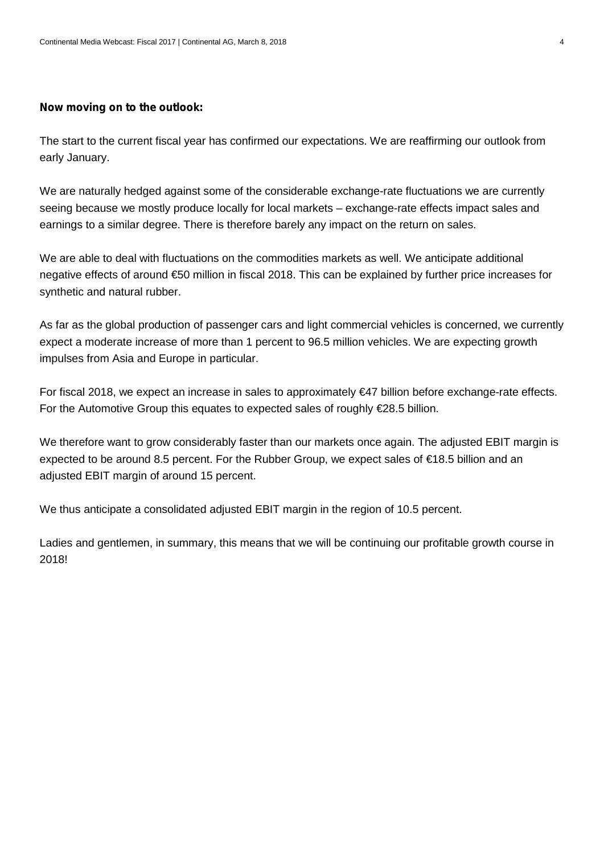#### **Now moving on to the outlook:**

The start to the current fiscal year has confirmed our expectations. We are reaffirming our outlook from early January.

We are naturally hedged against some of the considerable exchange-rate fluctuations we are currently seeing because we mostly produce locally for local markets – exchange-rate effects impact sales and earnings to a similar degree. There is therefore barely any impact on the return on sales.

We are able to deal with fluctuations on the commodities markets as well. We anticipate additional negative effects of around €50 million in fiscal 2018. This can be explained by further price increases for synthetic and natural rubber.

As far as the global production of passenger cars and light commercial vehicles is concerned, we currently expect a moderate increase of more than 1 percent to 96.5 million vehicles. We are expecting growth impulses from Asia and Europe in particular.

For fiscal 2018, we expect an increase in sales to approximately €47 billion before exchange-rate effects. For the Automotive Group this equates to expected sales of roughly €28.5 billion.

We therefore want to grow considerably faster than our markets once again. The adjusted EBIT margin is expected to be around 8.5 percent. For the Rubber Group, we expect sales of €18.5 billion and an adjusted EBIT margin of around 15 percent.

We thus anticipate a consolidated adjusted EBIT margin in the region of 10.5 percent.

Ladies and gentlemen, in summary, this means that we will be continuing our profitable growth course in 2018!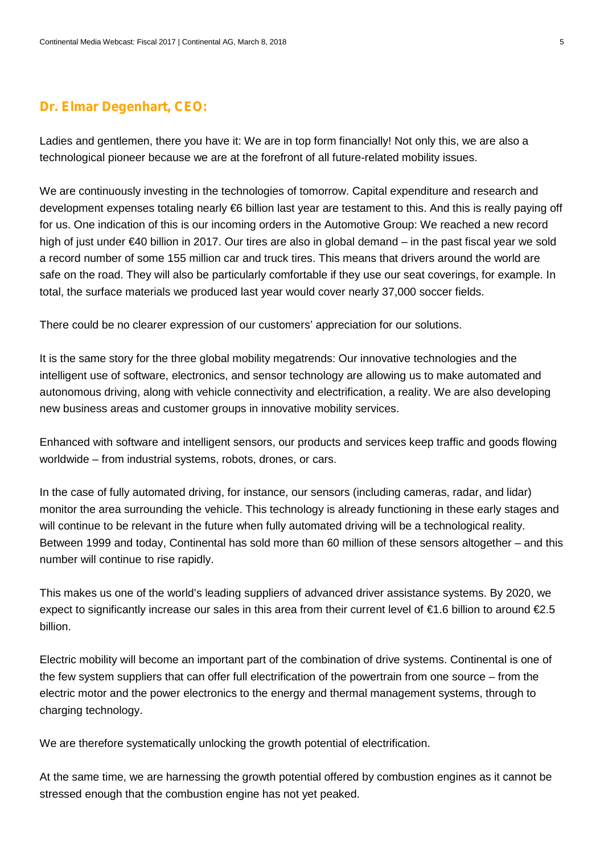### **Dr. Elmar Degenhart, CEO:**

Ladies and gentlemen, there you have it: We are in top form financially! Not only this, we are also a technological pioneer because we are at the forefront of all future-related mobility issues.

We are continuously investing in the technologies of tomorrow. Capital expenditure and research and development expenses totaling nearly €6 billion last year are testament to this. And this is really paying off for us. One indication of this is our incoming orders in the Automotive Group: We reached a new record high of just under €40 billion in 2017. Our tires are also in global demand – in the past fiscal year we sold a record number of some 155 million car and truck tires. This means that drivers around the world are safe on the road. They will also be particularly comfortable if they use our seat coverings, for example. In total, the surface materials we produced last year would cover nearly 37,000 soccer fields.

There could be no clearer expression of our customers' appreciation for our solutions.

It is the same story for the three global mobility megatrends: Our innovative technologies and the intelligent use of software, electronics, and sensor technology are allowing us to make automated and autonomous driving, along with vehicle connectivity and electrification, a reality. We are also developing new business areas and customer groups in innovative mobility services.

Enhanced with software and intelligent sensors, our products and services keep traffic and goods flowing worldwide – from industrial systems, robots, drones, or cars.

In the case of fully automated driving, for instance, our sensors (including cameras, radar, and lidar) monitor the area surrounding the vehicle. This technology is already functioning in these early stages and will continue to be relevant in the future when fully automated driving will be a technological reality. Between 1999 and today, Continental has sold more than 60 million of these sensors altogether – and this number will continue to rise rapidly.

This makes us one of the world's leading suppliers of advanced driver assistance systems. By 2020, we expect to significantly increase our sales in this area from their current level of €1.6 billion to around €2.5 billion.

Electric mobility will become an important part of the combination of drive systems. Continental is one of the few system suppliers that can offer full electrification of the powertrain from one source – from the electric motor and the power electronics to the energy and thermal management systems, through to charging technology.

We are therefore systematically unlocking the growth potential of electrification.

At the same time, we are harnessing the growth potential offered by combustion engines as it cannot be stressed enough that the combustion engine has not yet peaked.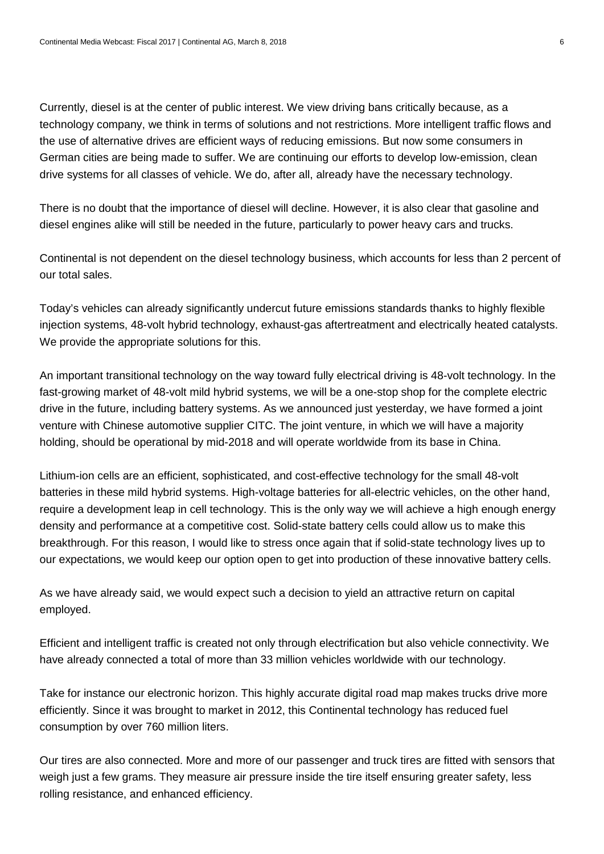Currently, diesel is at the center of public interest. We view driving bans critically because, as a technology company, we think in terms of solutions and not restrictions. More intelligent traffic flows and the use of alternative drives are efficient ways of reducing emissions. But now some consumers in German cities are being made to suffer. We are continuing our efforts to develop low-emission, clean drive systems for all classes of vehicle. We do, after all, already have the necessary technology.

There is no doubt that the importance of diesel will decline. However, it is also clear that gasoline and diesel engines alike will still be needed in the future, particularly to power heavy cars and trucks.

Continental is not dependent on the diesel technology business, which accounts for less than 2 percent of our total sales.

Today's vehicles can already significantly undercut future emissions standards thanks to highly flexible injection systems, 48-volt hybrid technology, exhaust-gas aftertreatment and electrically heated catalysts. We provide the appropriate solutions for this.

An important transitional technology on the way toward fully electrical driving is 48-volt technology. In the fast-growing market of 48-volt mild hybrid systems, we will be a one-stop shop for the complete electric drive in the future, including battery systems. As we announced just yesterday, we have formed a joint venture with Chinese automotive supplier CITC. The joint venture, in which we will have a majority holding, should be operational by mid-2018 and will operate worldwide from its base in China.

Lithium-ion cells are an efficient, sophisticated, and cost-effective technology for the small 48-volt batteries in these mild hybrid systems. High-voltage batteries for all-electric vehicles, on the other hand, require a development leap in cell technology. This is the only way we will achieve a high enough energy density and performance at a competitive cost. Solid-state battery cells could allow us to make this breakthrough. For this reason, I would like to stress once again that if solid-state technology lives up to our expectations, we would keep our option open to get into production of these innovative battery cells.

As we have already said, we would expect such a decision to yield an attractive return on capital employed.

Efficient and intelligent traffic is created not only through electrification but also vehicle connectivity. We have already connected a total of more than 33 million vehicles worldwide with our technology.

Take for instance our electronic horizon. This highly accurate digital road map makes trucks drive more efficiently. Since it was brought to market in 2012, this Continental technology has reduced fuel consumption by over 760 million liters.

Our tires are also connected. More and more of our passenger and truck tires are fitted with sensors that weigh just a few grams. They measure air pressure inside the tire itself ensuring greater safety, less rolling resistance, and enhanced efficiency.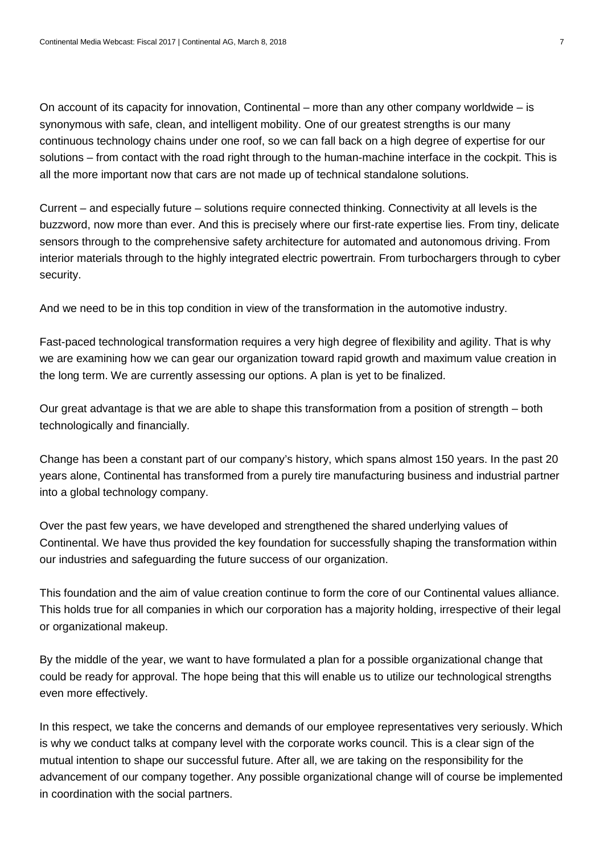On account of its capacity for innovation, Continental – more than any other company worldwide – is synonymous with safe, clean, and intelligent mobility. One of our greatest strengths is our many continuous technology chains under one roof, so we can fall back on a high degree of expertise for our solutions – from contact with the road right through to the human-machine interface in the cockpit. This is all the more important now that cars are not made up of technical standalone solutions.

Current – and especially future – solutions require connected thinking. Connectivity at all levels is the buzzword, now more than ever. And this is precisely where our first-rate expertise lies. From tiny, delicate sensors through to the comprehensive safety architecture for automated and autonomous driving. From interior materials through to the highly integrated electric powertrain. From turbochargers through to cyber security.

And we need to be in this top condition in view of the transformation in the automotive industry.

Fast-paced technological transformation requires a very high degree of flexibility and agility. That is why we are examining how we can gear our organization toward rapid growth and maximum value creation in the long term. We are currently assessing our options. A plan is yet to be finalized.

Our great advantage is that we are able to shape this transformation from a position of strength – both technologically and financially.

Change has been a constant part of our company's history, which spans almost 150 years. In the past 20 years alone, Continental has transformed from a purely tire manufacturing business and industrial partner into a global technology company.

Over the past few years, we have developed and strengthened the shared underlying values of Continental. We have thus provided the key foundation for successfully shaping the transformation within our industries and safeguarding the future success of our organization.

This foundation and the aim of value creation continue to form the core of our Continental values alliance. This holds true for all companies in which our corporation has a majority holding, irrespective of their legal or organizational makeup.

By the middle of the year, we want to have formulated a plan for a possible organizational change that could be ready for approval. The hope being that this will enable us to utilize our technological strengths even more effectively.

In this respect, we take the concerns and demands of our employee representatives very seriously. Which is why we conduct talks at company level with the corporate works council. This is a clear sign of the mutual intention to shape our successful future. After all, we are taking on the responsibility for the advancement of our company together. Any possible organizational change will of course be implemented in coordination with the social partners.